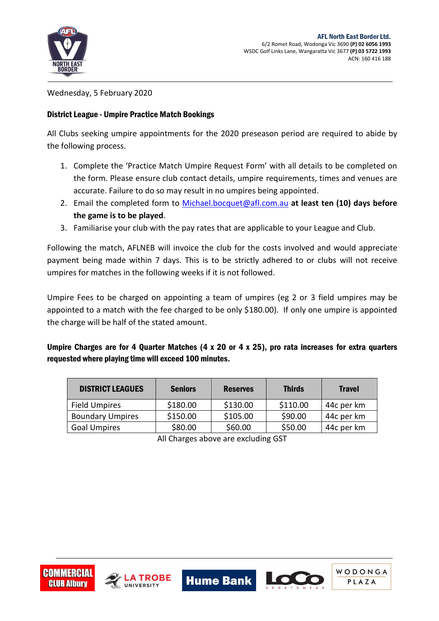

WODONGA

PLAZA

Wednesday, 5 February 2020

## District League - Umpire Practice Match Bookings

All Clubs seeking umpire appointments for the 2020 preseason period are required to abide by the following process.

- 1. Complete the 'Practice Match Umpire Request Form' with all details to be completed on the form. Please ensure club contact details, umpire requirements, times and venues are accurate. Failure to do so may result in no umpires being appointed.
- 2. Email the completed form to [Michael.bocquet@afl.com.au](mailto:Michael.bocquet@afl.com.au) **at least ten (10) days before the game is to be played**.
- 3. Familiarise your club with the pay rates that are applicable to your League and Club.

Following the match, AFLNEB will invoice the club for the costs involved and would appreciate payment being made within 7 days. This is to be strictly adhered to or clubs will not receive umpires for matches in the following weeks if it is not followed.

Umpire Fees to be charged on appointing a team of umpires (eg 2 or 3 field umpires may be appointed to a match with the fee charged to be only \$180.00). If only one umpire is appointed the charge will be half of the stated amount.

Umpire Charges are for 4 Quarter Matches (4 x 20 or 4 x 25), pro rata increases for extra quarters requested where playing time will exceed 100 minutes**.**

| <b>DISTRICT LEAGUES</b> | <b>Seniors</b> | <b>Reserves</b> | <b>Thirds</b> | <b>Travel</b> |
|-------------------------|----------------|-----------------|---------------|---------------|
| <b>Field Umpires</b>    | \$180.00       | \$130.00        | \$110.00      | 44c per km    |
| <b>Boundary Umpires</b> | \$150.00       | \$105.00        | \$90.00       | 44c per km    |
| <b>Goal Umpires</b>     | \$80.00        | \$60.00         | \$50.00       | 44c per km    |

All Charges above are excluding GST

**Hume Bank | 6**